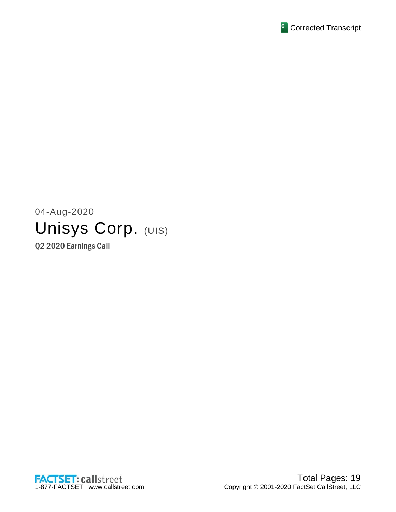

# 04-Aug-2020 Unisys Corp. (UIS)

Q2 2020 Earnings Call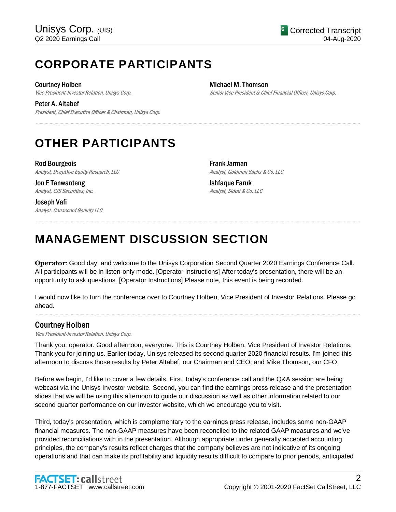# **CORPORATE PARTICIPANTS**

Courtney Holben

Vice President-Investor Relation, Unisys Corp.

Peter A. Altabef President, Chief Executive Officer & Chairman, Unisys Corp. Michael M. Thomson Senior Vice President & Chief Financial Officer, Unisys Corp.

# **OTHER PARTICIPANTS**

Rod Bourgeois Analyst, DeepDive Equity Research, LLC

Jon E Tanwanteng Analyst, CJS Securities, Inc.

Joseph Vafi Analyst, Canaccord Genuity LLC Frank Jarman Analyst, Goldman Sachs & Co. LLC

Ishfaque Faruk Analyst, Sidoti & Co. LLC

# **MANAGEMENT DISCUSSION SECTION**

**Operator**: Good day, and welcome to the Unisys Corporation Second Quarter 2020 Earnings Conference Call. All participants will be in listen-only mode. [Operator Instructions] After today's presentation, there will be an opportunity to ask questions. [Operator Instructions] Please note, this event is being recorded.

.....................................................................................................................................................................................................................................................................

.....................................................................................................................................................................................................................................................................

I would now like to turn the conference over to Courtney Holben, Vice President of Investor Relations. Please go ahead.

.....................................................................................................................................................................................................................................................................

## Courtney Holben

Vice President-Investor Relation, Unisys Corp.

Thank you, operator. Good afternoon, everyone. This is Courtney Holben, Vice President of Investor Relations. Thank you for joining us. Earlier today, Unisys released its second quarter 2020 financial results. I'm joined this afternoon to discuss those results by Peter Altabef, our Chairman and CEO; and Mike Thomson, our CFO.

Before we begin, I'd like to cover a few details. First, today's conference call and the Q&A session are being webcast via the Unisys Investor website. Second, you can find the earnings press release and the presentation slides that we will be using this afternoon to guide our discussion as well as other information related to our second quarter performance on our investor website, which we encourage you to visit.

Third, today's presentation, which is complementary to the earnings press release, includes some non-GAAP financial measures. The non-GAAP measures have been reconciled to the related GAAP measures and we've provided reconciliations with in the presentation. Although appropriate under generally accepted accounting principles, the company's results reflect charges that the company believes are not indicative of its ongoing operations and that can make its profitability and liquidity results difficult to compare to prior periods, anticipated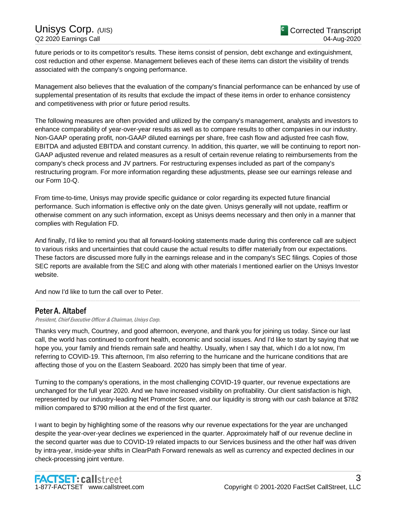future periods or to its competitor's results. These items consist of pension, debt exchange and extinguishment, cost reduction and other expense. Management believes each of these items can distort the visibility of trends associated with the company's ongoing performance.

Management also believes that the evaluation of the company's financial performance can be enhanced by use of supplemental presentation of its results that exclude the impact of these items in order to enhance consistency and competitiveness with prior or future period results.

The following measures are often provided and utilized by the company's management, analysts and investors to enhance comparability of year-over-year results as well as to compare results to other companies in our industry. Non-GAAP operating profit, non-GAAP diluted earnings per share, free cash flow and adjusted free cash flow, EBITDA and adjusted EBITDA and constant currency. In addition, this quarter, we will be continuing to report non-GAAP adjusted revenue and related measures as a result of certain revenue relating to reimbursements from the company's check process and JV partners. For restructuring expenses included as part of the company's restructuring program. For more information regarding these adjustments, please see our earnings release and our Form 10-Q.

From time-to-time, Unisys may provide specific guidance or color regarding its expected future financial performance. Such information is effective only on the date given. Unisys generally will not update, reaffirm or otherwise comment on any such information, except as Unisys deems necessary and then only in a manner that complies with Regulation FD.

And finally, I'd like to remind you that all forward-looking statements made during this conference call are subject to various risks and uncertainties that could cause the actual results to differ materially from our expectations. These factors are discussed more fully in the earnings release and in the company's SEC filings. Copies of those SEC reports are available from the SEC and along with other materials I mentioned earlier on the Unisys Investor website.

.....................................................................................................................................................................................................................................................................

And now I'd like to turn the call over to Peter.

## Peter A. Altabef

President, Chief Executive Officer & Chairman, Unisys Corp.

Thanks very much, Courtney, and good afternoon, everyone, and thank you for joining us today. Since our last call, the world has continued to confront health, economic and social issues. And I'd like to start by saying that we hope you, your family and friends remain safe and healthy. Usually, when I say that, which I do a lot now, I'm referring to COVID-19. This afternoon, I'm also referring to the hurricane and the hurricane conditions that are affecting those of you on the Eastern Seaboard. 2020 has simply been that time of year.

Turning to the company's operations, in the most challenging COVID-19 quarter, our revenue expectations are unchanged for the full year 2020. And we have increased visibility on profitability. Our client satisfaction is high, represented by our industry-leading Net Promoter Score, and our liquidity is strong with our cash balance at \$782 million compared to \$790 million at the end of the first quarter.

I want to begin by highlighting some of the reasons why our revenue expectations for the year are unchanged despite the year-over-year declines we experienced in the quarter. Approximately half of our revenue decline in the second quarter was due to COVID-19 related impacts to our Services business and the other half was driven by intra-year, inside-year shifts in ClearPath Forward renewals as well as currency and expected declines in our check-processing joint venture.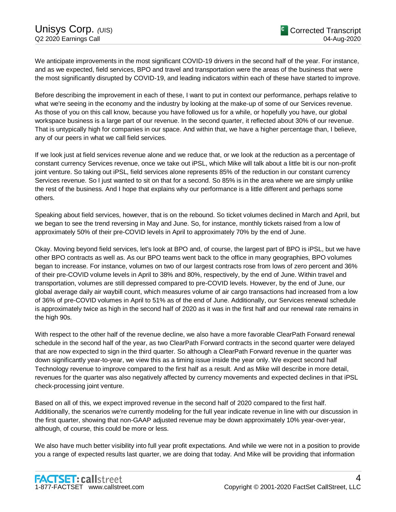We anticipate improvements in the most significant COVID-19 drivers in the second half of the year. For instance, and as we expected, field services, BPO and travel and transportation were the areas of the business that were the most significantly disrupted by COVID-19, and leading indicators within each of these have started to improve.

Before describing the improvement in each of these, I want to put in context our performance, perhaps relative to what we're seeing in the economy and the industry by looking at the make-up of some of our Services revenue. As those of you on this call know, because you have followed us for a while, or hopefully you have, our global workspace business is a large part of our revenue. In the second quarter, it reflected about 30% of our revenue. That is untypically high for companies in our space. And within that, we have a higher percentage than, I believe, any of our peers in what we call field services.

If we look just at field services revenue alone and we reduce that, or we look at the reduction as a percentage of constant currency Services revenue, once we take out iPSL, which Mike will talk about a little bit is our non-profit joint venture. So taking out iPSL, field services alone represents 85% of the reduction in our constant currency Services revenue. So I just wanted to sit on that for a second. So 85% is in the area where we are simply unlike the rest of the business. And I hope that explains why our performance is a little different and perhaps some others.

Speaking about field services, however, that is on the rebound. So ticket volumes declined in March and April, but we began to see the trend reversing in May and June. So, for instance, monthly tickets raised from a low of approximately 50% of their pre-COVID levels in April to approximately 70% by the end of June.

Okay. Moving beyond field services, let's look at BPO and, of course, the largest part of BPO is iPSL, but we have other BPO contracts as well as. As our BPO teams went back to the office in many geographies, BPO volumes began to increase. For instance, volumes on two of our largest contracts rose from lows of zero percent and 36% of their pre-COVID volume levels in April to 38% and 80%, respectively, by the end of June. Within travel and transportation, volumes are still depressed compared to pre-COVID levels. However, by the end of June, our global average daily air waybill count, which measures volume of air cargo transactions had increased from a low of 36% of pre-COVID volumes in April to 51% as of the end of June. Additionally, our Services renewal schedule is approximately twice as high in the second half of 2020 as it was in the first half and our renewal rate remains in the high 90s.

With respect to the other half of the revenue decline, we also have a more favorable ClearPath Forward renewal schedule in the second half of the year, as two ClearPath Forward contracts in the second quarter were delayed that are now expected to sign in the third quarter. So although a ClearPath Forward revenue in the quarter was down significantly year-to-year, we view this as a timing issue inside the year only. We expect second half Technology revenue to improve compared to the first half as a result. And as Mike will describe in more detail, revenues for the quarter was also negatively affected by currency movements and expected declines in that iPSL check-processing joint venture.

Based on all of this, we expect improved revenue in the second half of 2020 compared to the first half. Additionally, the scenarios we're currently modeling for the full year indicate revenue in line with our discussion in the first quarter, showing that non-GAAP adjusted revenue may be down approximately 10% year-over-year, although, of course, this could be more or less.

We also have much better visibility into full year profit expectations. And while we were not in a position to provide you a range of expected results last quarter, we are doing that today. And Mike will be providing that information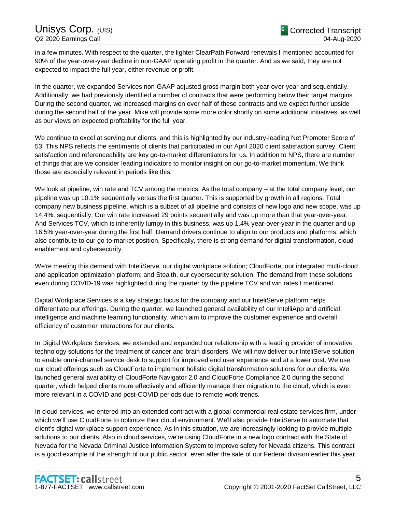in a few minutes. With respect to the quarter, the lighter ClearPath Forward renewals I mentioned accounted for 90% of the year-over-year decline in non-GAAP operating profit in the quarter. And as we said, they are not expected to impact the full year, either revenue or profit.

In the quarter, we expanded Services non-GAAP adjusted gross margin both year-over-year and sequentially. Additionally, we had previously identified a number of contracts that were performing below their target margins. During the second quarter, we increased margins on over half of these contracts and we expect further upside during the second half of the year. Mike will provide some more color shortly on some additional initiatives, as well as our views on expected profitability for the full year.

We continue to excel at serving our clients, and this is highlighted by our industry-leading Net Promoter Score of 53. This NPS reflects the sentiments of clients that participated in our April 2020 client satisfaction survey. Client satisfaction and referenceability are key go-to-market differentiators for us. In addition to NPS, there are number of things that are we consider leading indicators to monitor insight on our go-to-market momentum. We think those are especially relevant in periods like this.

We look at pipeline, win rate and TCV among the metrics. As the total company – at the total company level, our pipeline was up 10.1% sequentially versus the first quarter. This is supported by growth in all regions. Total company new business pipeline, which is a subset of all pipeline and consists of new logo and new scope, was up 14.4%, sequentially. Our win rate increased 29 points sequentially and was up more than that year-over-year. And Services TCV, which is inherently lumpy in this business, was up 1.4% year-over-year in the quarter and up 16.5% year-over-year during the first half. Demand drivers continue to align to our products and platforms, which also contribute to our go-to-market position. Specifically, there is strong demand for digital transformation, cloud enablement and cybersecurity.

We're meeting this demand with InteliServe, our digital workplace solution; CloudForte, our integrated multi-cloud and application optimization platform; and Stealth, our cybersecurity solution. The demand from these solutions even during COVID-19 was highlighted during the quarter by the pipeline TCV and win rates I mentioned.

Digital Workplace Services is a key strategic focus for the company and our InteliServe platform helps differentiate our offerings. During the quarter, we launched general availability of our IntelliApp and artificial intelligence and machine learning functionality, which aim to improve the customer experience and overall efficiency of customer interactions for our clients.

In Digital Workplace Services, we extended and expanded our relationship with a leading provider of innovative technology solutions for the treatment of cancer and brain disorders. We will now deliver our InteliServe solution to enable omni-channel service desk to support for improved end user experience and at a lower cost. We use our cloud offerings such as CloudForte to implement holistic digital transformation solutions for our clients. We launched general availability of CloudForte Navigator 2.0 and CloudForte Compliance 2.0 during the second quarter, which helped clients more effectively and efficiently manage their migration to the cloud, which is even more relevant in a COVID and post-COVID periods due to remote work trends.

In cloud services, we entered into an extended contract with a global commercial real estate services firm, under which we'll use CloudForte to optimize their cloud environment. We'll also provide InteliServe to automate that client's digital workplace support experience. As in this situation, we are increasingly looking to provide multiple solutions to our clients. Also in cloud services, we're using CloudForte in a new logo contract with the State of Nevada for the Nevada Criminal Justice Information System to improve safety for Nevada citizens. This contract is a good example of the strength of our public sector, even after the sale of our Federal division earlier this year.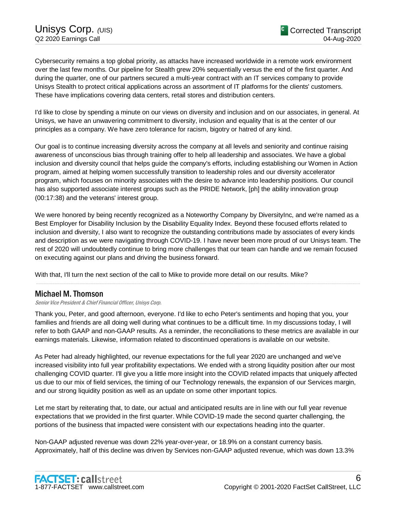Cybersecurity remains a top global priority, as attacks have increased worldwide in a remote work environment over the last few months. Our pipeline for Stealth grew 20% sequentially versus the end of the first quarter. And during the quarter, one of our partners secured a multi-year contract with an IT services company to provide Unisys Stealth to protect critical applications across an assortment of IT platforms for the clients' customers. These have implications covering data centers, retail stores and distribution centers.

I'd like to close by spending a minute on our views on diversity and inclusion and on our associates, in general. At Unisys, we have an unwavering commitment to diversity, inclusion and equality that is at the center of our principles as a company. We have zero tolerance for racism, bigotry or hatred of any kind.

Our goal is to continue increasing diversity across the company at all levels and seniority and continue raising awareness of unconscious bias through training offer to help all leadership and associates. We have a global inclusion and diversity council that helps guide the company's efforts, including establishing our Women in Action program, aimed at helping women successfully transition to leadership roles and our diversity accelerator program, which focuses on minority associates with the desire to advance into leadership positions. Our council has also supported associate interest groups such as the PRIDE Network, [ph] the ability innovation group (00:17:38) and the veterans' interest group.

We were honored by being recently recognized as a Noteworthy Company by DiversityInc, and we're named as a Best Employer for Disability Inclusion by the Disability Equality Index. Beyond these focused efforts related to inclusion and diversity, I also want to recognize the outstanding contributions made by associates of every kinds and description as we were navigating through COVID-19. I have never been more proud of our Unisys team. The rest of 2020 will undoubtedly continue to bring more challenges that our team can handle and we remain focused on executing against our plans and driving the business forward.

With that, I'll turn the next section of the call to Mike to provide more detail on our results. Mike?

## Michael M. Thomson

Senior Vice President & Chief Financial Officer, Unisys Corp.

Thank you, Peter, and good afternoon, everyone. I'd like to echo Peter's sentiments and hoping that you, your families and friends are all doing well during what continues to be a difficult time. In my discussions today, I will refer to both GAAP and non-GAAP results. As a reminder, the reconciliations to these metrics are available in our earnings materials. Likewise, information related to discontinued operations is available on our website.

.....................................................................................................................................................................................................................................................................

As Peter had already highlighted, our revenue expectations for the full year 2020 are unchanged and we've increased visibility into full year profitability expectations. We ended with a strong liquidity position after our most challenging COVID quarter. I'll give you a little more insight into the COVID related impacts that uniquely affected us due to our mix of field services, the timing of our Technology renewals, the expansion of our Services margin, and our strong liquidity position as well as an update on some other important topics.

Let me start by reiterating that, to date, our actual and anticipated results are in line with our full year revenue expectations that we provided in the first quarter. While COVID-19 made the second quarter challenging, the portions of the business that impacted were consistent with our expectations heading into the quarter.

Non-GAAP adjusted revenue was down 22% year-over-year, or 18.9% on a constant currency basis. Approximately, half of this decline was driven by Services non-GAAP adjusted revenue, which was down 13.3%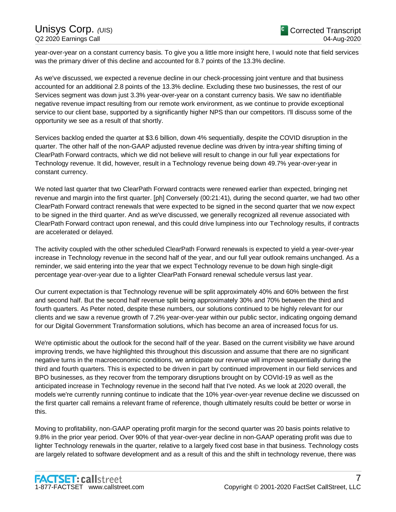year-over-year on a constant currency basis. To give you a little more insight here, I would note that field services was the primary driver of this decline and accounted for 8.7 points of the 13.3% decline.

As we've discussed, we expected a revenue decline in our check-processing joint venture and that business accounted for an additional 2.8 points of the 13.3% decline. Excluding these two businesses, the rest of our Services segment was down just 3.3% year-over-year on a constant currency basis. We saw no identifiable negative revenue impact resulting from our remote work environment, as we continue to provide exceptional service to our client base, supported by a significantly higher NPS than our competitors. I'll discuss some of the opportunity we see as a result of that shortly.

Services backlog ended the quarter at \$3.6 billion, down 4% sequentially, despite the COVID disruption in the quarter. The other half of the non-GAAP adjusted revenue decline was driven by intra-year shifting timing of ClearPath Forward contracts, which we did not believe will result to change in our full year expectations for Technology revenue. It did, however, result in a Technology revenue being down 49.7% year-over-year in constant currency.

We noted last quarter that two ClearPath Forward contracts were renewed earlier than expected, bringing net revenue and margin into the first quarter. [ph] Conversely (00:21:41), during the second quarter, we had two other ClearPath Forward contract renewals that were expected to be signed in the second quarter that we now expect to be signed in the third quarter. And as we've discussed, we generally recognized all revenue associated with ClearPath Forward contract upon renewal, and this could drive lumpiness into our Technology results, if contracts are accelerated or delayed.

The activity coupled with the other scheduled ClearPath Forward renewals is expected to yield a year-over-year increase in Technology revenue in the second half of the year, and our full year outlook remains unchanged. As a reminder, we said entering into the year that we expect Technology revenue to be down high single-digit percentage year-over-year due to a lighter ClearPath Forward renewal schedule versus last year.

Our current expectation is that Technology revenue will be split approximately 40% and 60% between the first and second half. But the second half revenue split being approximately 30% and 70% between the third and fourth quarters. As Peter noted, despite these numbers, our solutions continued to be highly relevant for our clients and we saw a revenue growth of 7.2% year-over-year within our public sector, indicating ongoing demand for our Digital Government Transformation solutions, which has become an area of increased focus for us.

We're optimistic about the outlook for the second half of the year. Based on the current visibility we have around improving trends, we have highlighted this throughout this discussion and assume that there are no significant negative turns in the macroeconomic conditions, we anticipate our revenue will improve sequentially during the third and fourth quarters. This is expected to be driven in part by continued improvement in our field services and BPO businesses, as they recover from the temporary disruptions brought on by COVId-19 as well as the anticipated increase in Technology revenue in the second half that I've noted. As we look at 2020 overall, the models we're currently running continue to indicate that the 10% year-over-year revenue decline we discussed on the first quarter call remains a relevant frame of reference, though ultimately results could be better or worse in this.

Moving to profitability, non-GAAP operating profit margin for the second quarter was 20 basis points relative to 9.8% in the prior year period. Over 90% of that year-over-year decline in non-GAAP operating profit was due to lighter Technology renewals in the quarter, relative to a largely fixed cost base in that business. Technology costs are largely related to software development and as a result of this and the shift in technology revenue, there was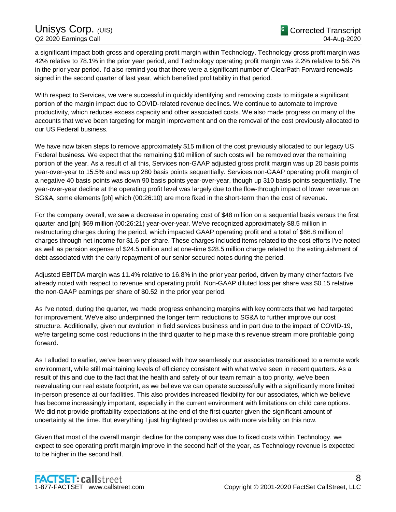a significant impact both gross and operating profit margin within Technology. Technology gross profit margin was 42% relative to 78.1% in the prior year period, and Technology operating profit margin was 2.2% relative to 56.7% in the prior year period. I'd also remind you that there were a significant number of ClearPath Forward renewals signed in the second quarter of last year, which benefited profitability in that period.

With respect to Services, we were successful in quickly identifying and removing costs to mitigate a significant portion of the margin impact due to COVID-related revenue declines. We continue to automate to improve productivity, which reduces excess capacity and other associated costs. We also made progress on many of the accounts that we've been targeting for margin improvement and on the removal of the cost previously allocated to our US Federal business.

We have now taken steps to remove approximately \$15 million of the cost previously allocated to our legacy US Federal business. We expect that the remaining \$10 million of such costs will be removed over the remaining portion of the year. As a result of all this, Services non-GAAP adjusted gross profit margin was up 20 basis points year-over-year to 15.5% and was up 280 basis points sequentially. Services non-GAAP operating profit margin of a negative 40 basis points was down 90 basis points year-over-year, though up 310 basis points sequentially. The year-over-year decline at the operating profit level was largely due to the flow-through impact of lower revenue on SG&A, some elements [ph] which (00:26:10) are more fixed in the short-term than the cost of revenue.

For the company overall, we saw a decrease in operating cost of \$48 million on a sequential basis versus the first quarter and [ph] \$69 million (00:26:21) year-over-year. We've recognized approximately \$8.5 million in restructuring charges during the period, which impacted GAAP operating profit and a total of \$66.8 million of charges through net income for \$1.6 per share. These charges included items related to the cost efforts I've noted as well as pension expense of \$24.5 million and at one-time \$28.5 million charge related to the extinguishment of debt associated with the early repayment of our senior secured notes during the period.

Adjusted EBITDA margin was 11.4% relative to 16.8% in the prior year period, driven by many other factors I've already noted with respect to revenue and operating profit. Non-GAAP diluted loss per share was \$0.15 relative the non-GAAP earnings per share of \$0.52 in the prior year period.

As I've noted, during the quarter, we made progress enhancing margins with key contracts that we had targeted for improvement. We've also underpinned the longer term reductions to SG&A to further improve our cost structure. Additionally, given our evolution in field services business and in part due to the impact of COVID-19, we're targeting some cost reductions in the third quarter to help make this revenue stream more profitable going forward.

As I alluded to earlier, we've been very pleased with how seamlessly our associates transitioned to a remote work environment, while still maintaining levels of efficiency consistent with what we've seen in recent quarters. As a result of this and due to the fact that the health and safety of our team remain a top priority, we've been reevaluating our real estate footprint, as we believe we can operate successfully with a significantly more limited in-person presence at our facilities. This also provides increased flexibility for our associates, which we believe has become increasingly important, especially in the current environment with limitations on child care options. We did not provide profitability expectations at the end of the first quarter given the significant amount of uncertainty at the time. But everything I just highlighted provides us with more visibility on this now.

Given that most of the overall margin decline for the company was due to fixed costs within Technology, we expect to see operating profit margin improve in the second half of the year, as Technology revenue is expected to be higher in the second half.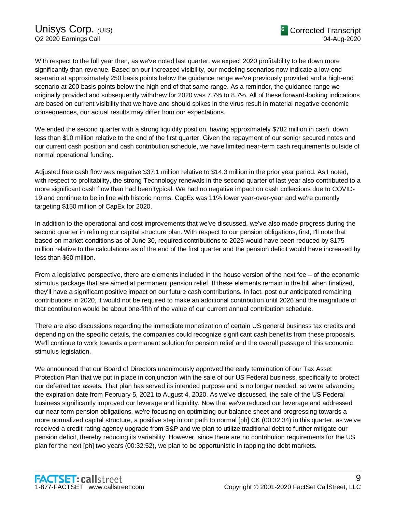With respect to the full year then, as we've noted last quarter, we expect 2020 profitability to be down more significantly than revenue. Based on our increased visibility, our modeling scenarios now indicate a low-end scenario at approximately 250 basis points below the guidance range we've previously provided and a high-end scenario at 200 basis points below the high end of that same range. As a reminder, the guidance range we originally provided and subsequently withdrew for 2020 was 7.7% to 8.7%. All of these forward-looking indications are based on current visibility that we have and should spikes in the virus result in material negative economic consequences, our actual results may differ from our expectations.

We ended the second quarter with a strong liquidity position, having approximately \$782 million in cash, down less than \$10 million relative to the end of the first quarter. Given the repayment of our senior secured notes and our current cash position and cash contribution schedule, we have limited near-term cash requirements outside of normal operational funding.

Adjusted free cash flow was negative \$37.1 million relative to \$14.3 million in the prior year period. As I noted, with respect to profitability, the strong Technology renewals in the second quarter of last year also contributed to a more significant cash flow than had been typical. We had no negative impact on cash collections due to COVID-19 and continue to be in line with historic norms. CapEx was 11% lower year-over-year and we're currently targeting \$150 million of CapEx for 2020.

In addition to the operational and cost improvements that we've discussed, we've also made progress during the second quarter in refining our capital structure plan. With respect to our pension obligations, first, I'll note that based on market conditions as of June 30, required contributions to 2025 would have been reduced by \$175 million relative to the calculations as of the end of the first quarter and the pension deficit would have increased by less than \$60 million.

From a legislative perspective, there are elements included in the house version of the next fee – of the economic stimulus package that are aimed at permanent pension relief. If these elements remain in the bill when finalized, they'll have a significant positive impact on our future cash contributions. In fact, post our anticipated remaining contributions in 2020, it would not be required to make an additional contribution until 2026 and the magnitude of that contribution would be about one-fifth of the value of our current annual contribution schedule.

There are also discussions regarding the immediate monetization of certain US general business tax credits and depending on the specific details, the companies could recognize significant cash benefits from these proposals. We'll continue to work towards a permanent solution for pension relief and the overall passage of this economic stimulus legislation.

We announced that our Board of Directors unanimously approved the early termination of our Tax Asset Protection Plan that we put in place in conjunction with the sale of our US Federal business, specifically to protect our deferred tax assets. That plan has served its intended purpose and is no longer needed, so we're advancing the expiration date from February 5, 2021 to August 4, 2020. As we've discussed, the sale of the US Federal business significantly improved our leverage and liquidity. Now that we've reduced our leverage and addressed our near-term pension obligations, we're focusing on optimizing our balance sheet and progressing towards a more normalized capital structure, a positive step in our path to normal [ph] CK (00:32:34) in this quarter, as we've received a credit rating agency upgrade from S&P and we plan to utilize traditional debt to further mitigate our pension deficit, thereby reducing its variability. However, since there are no contribution requirements for the US plan for the next [ph] two years (00:32:52), we plan to be opportunistic in tapping the debt markets.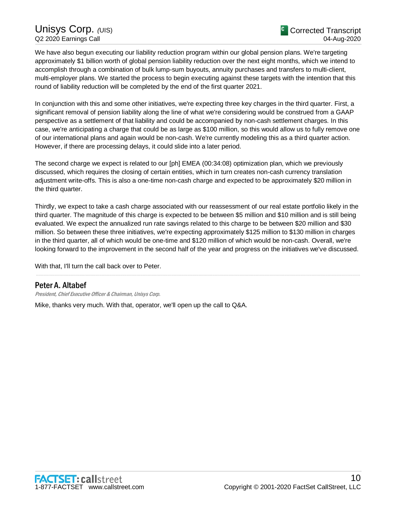We have also begun executing our liability reduction program within our global pension plans. We're targeting approximately \$1 billion worth of global pension liability reduction over the next eight months, which we intend to accomplish through a combination of bulk lump-sum buyouts, annuity purchases and transfers to multi-client, multi-employer plans. We started the process to begin executing against these targets with the intention that this round of liability reduction will be completed by the end of the first quarter 2021.

In conjunction with this and some other initiatives, we're expecting three key charges in the third quarter. First, a significant removal of pension liability along the line of what we're considering would be construed from a GAAP perspective as a settlement of that liability and could be accompanied by non-cash settlement charges. In this case, we're anticipating a charge that could be as large as \$100 million, so this would allow us to fully remove one of our international plans and again would be non-cash. We're currently modeling this as a third quarter action. However, if there are processing delays, it could slide into a later period.

The second charge we expect is related to our [ph] EMEA (00:34:08) optimization plan, which we previously discussed, which requires the closing of certain entities, which in turn creates non-cash currency translation adjustment write-offs. This is also a one-time non-cash charge and expected to be approximately \$20 million in the third quarter.

Thirdly, we expect to take a cash charge associated with our reassessment of our real estate portfolio likely in the third quarter. The magnitude of this charge is expected to be between \$5 million and \$10 million and is still being evaluated. We expect the annualized run rate savings related to this charge to be between \$20 million and \$30 million. So between these three initiatives, we're expecting approximately \$125 million to \$130 million in charges in the third quarter, all of which would be one-time and \$120 million of which would be non-cash. Overall, we're looking forward to the improvement in the second half of the year and progress on the initiatives we've discussed.

.....................................................................................................................................................................................................................................................................

With that, I'll turn the call back over to Peter.

## Peter A. Altabef

President, Chief Executive Officer & Chairman, Unisys Corp.

Mike, thanks very much. With that, operator, we'll open up the call to Q&A.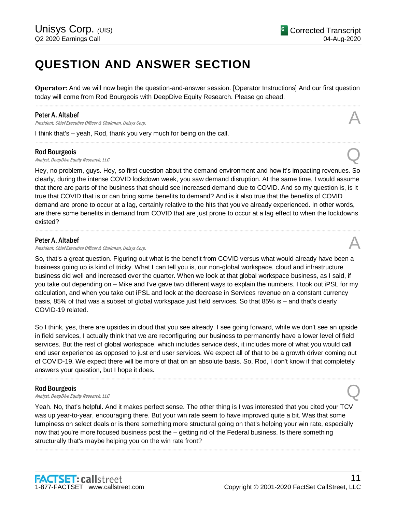## **QUESTION AND ANSWER SECTION**

**Operator**: And we will now begin the question-and-answer session. [Operator Instructions] And our first question today will come from Rod Bourgeois with DeepDive Equity Research. Please go ahead. .....................................................................................................................................................................................................................................................................

.....................................................................................................................................................................................................................................................................

#### Peter A. Altabef

**Peter A. Altabef A. Altabef A. Altabef A.** Altainer *A. Chairman, Unisys Corp.* A **A** 

I think that's – yeah, Rod, thank you very much for being on the call.

#### Rod Bourgeois

**Rod Bourgeois**<br>Analyst, DeepDive Equity Research, LLC  $\bigotimes$ 

Hey, no problem, guys. Hey, so first question about the demand environment and how it's impacting revenues. So clearly, during the intense COVID lockdown week, you saw demand disruption. At the same time, I would assume that there are parts of the business that should see increased demand due to COVID. And so my question is, is it true that COVID that is or can bring some benefits to demand? And is it also true that the benefits of COVID demand are prone to occur at a lag, certainly relative to the hits that you've already experienced. In other words, are there some benefits in demand from COVID that are just prone to occur at a lag effect to when the lockdowns existed?

.....................................................................................................................................................................................................................................................................

## Peter A. Altabef

President, Chief Executive Officer & Chairman, Unisys Corp.

So, that's a great question. Figuring out what is the benefit from COVID versus what would already have been a business going up is kind of tricky. What I can tell you is, our non-global workspace, cloud and infrastructure business did well and increased over the quarter. When we look at that global workspace business, as I said, if you take out depending on – Mike and I've gave two different ways to explain the numbers. I took out iPSL for my calculation, and when you take out iPSL and look at the decrease in Services revenue on a constant currency basis, 85% of that was a subset of global workspace just field services. So that 85% is – and that's clearly COVID-19 related.

So I think, yes, there are upsides in cloud that you see already. I see going forward, while we don't see an upside in field services, I actually think that we are reconfiguring our business to permanently have a lower level of field services. But the rest of global workspace, which includes service desk, it includes more of what you would call end user experience as opposed to just end user services. We expect all of that to be a growth driver coming out of COVID-19. We expect there will be more of that on an absolute basis. So, Rod, I don't know if that completely answers your question, but I hope it does.

.....................................................................................................................................................................................................................................................................

## Rod Bourgeois

**Rod Bourgeois**<br>Analyst, DeepDive Equity Research, LLC  $\bigotimes$ 

Yeah. No, that's helpful. And it makes perfect sense. The other thing is I was interested that you cited your TCV was up year-to-year, encouraging there. But your win rate seem to have improved quite a bit. Was that some lumpiness on select deals or is there something more structural going on that's helping your win rate, especially now that you're more focused business post the – getting rid of the Federal business. Is there something structurally that's maybe helping you on the win rate front?

.....................................................................................................................................................................................................................................................................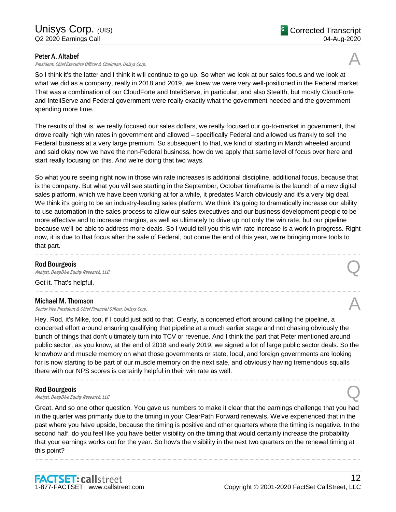## Peter A. Altabef

President, Chief Executive Officer & Chairman, Unisys Corp.

So I think it's the latter and I think it will continue to go up. So when we look at our sales focus and we look at what we did as a company, really in 2018 and 2019, we knew we were very well-positioned in the Federal market. That was a combination of our CloudForte and InteliServe, in particular, and also Stealth, but mostly CloudForte and InteliServe and Federal government were really exactly what the government needed and the government spending more time.

The results of that is, we really focused our sales dollars, we really focused our go-to-market in government, that drove really high win rates in government and allowed – specifically Federal and allowed us frankly to sell the Federal business at a very large premium. So subsequent to that, we kind of starting in March wheeled around and said okay now we have the non-Federal business, how do we apply that same level of focus over here and start really focusing on this. And we're doing that two ways.

So what you're seeing right now in those win rate increases is additional discipline, additional focus, because that is the company. But what you will see starting in the September, October timeframe is the launch of a new digital sales platform, which we have been working at for a while, it predates March obviously and it's a very big deal. We think it's going to be an industry-leading sales platform. We think it's going to dramatically increase our ability to use automation in the sales process to allow our sales executives and our business development people to be more effective and to increase margins, as well as ultimately to drive up not only the win rate, but our pipeline because we'll be able to address more deals. So I would tell you this win rate increase is a work in progress. Right now, it is due to that focus after the sale of Federal, but come the end of this year, we're bringing more tools to that part.

.....................................................................................................................................................................................................................................................................

.....................................................................................................................................................................................................................................................................

#### Rod Bourgeois

**Rod Bourgeois**<br>Analyst, DeepDive Equity Research, LLC  $\bigotimes$ 

Got it. That's helpful.

#### Michael M. Thomson

Senior Vice President & Chief Financial Officer, Unisys Corp.

Hey. Rod, it's Mike, too, if I could just add to that. Clearly, a concerted effort around calling the pipeline, a concerted effort around ensuring qualifying that pipeline at a much earlier stage and not chasing obviously the bunch of things that don't ultimately turn into TCV or revenue. And I think the part that Peter mentioned around public sector, as you know, at the end of 2018 and early 2019, we signed a lot of large public sector deals. So the knowhow and muscle memory on what those governments or state, local, and foreign governments are looking for is now starting to be part of our muscle memory on the next sale, and obviously having tremendous squalls there with our NPS scores is certainly helpful in their win rate as well.

.....................................................................................................................................................................................................................................................................

## Rod Bourgeois

**Rod Bourgeois**<br>Analyst, DeepDive Equity Research, LLC  $\bigotimes$ 

Great. And so one other question. You gave us numbers to make it clear that the earnings challenge that you had in the quarter was primarily due to the timing in your ClearPath Forward renewals. We've experienced that in the past where you have upside, because the timing is positive and other quarters where the timing is negative. In the second half, do you feel like you have better visibility on the timing that would certainly increase the probability that your earnings works out for the year. So how's the visibility in the next two quarters on the renewal timing at this point?

.....................................................................................................................................................................................................................................................................

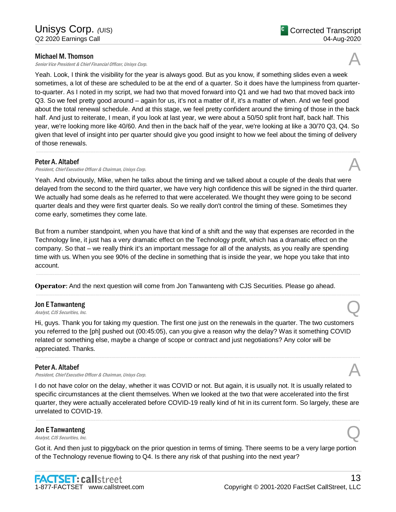## Michael M. Thomson

Senior Vice President & Chief Financial Officer, Unisys Corp.

Yeah. Look, I think the visibility for the year is always good. But as you know, if something slides even a week sometimes, a lot of these are scheduled to be at the end of a quarter. So it does have the lumpiness from quarterto-quarter. As I noted in my script, we had two that moved forward into Q1 and we had two that moved back into Q3. So we feel pretty good around – again for us, it's not a matter of if, it's a matter of when. And we feel good about the total renewal schedule. And at this stage, we feel pretty confident around the timing of those in the back half. And just to reiterate, I mean, if you look at last year, we were about a 50/50 split front half, back half. This year, we're looking more like 40/60. And then in the back half of the year, we're looking at like a 30/70 Q3, Q4. So given that level of insight into per quarter should give you good insight to how we feel about the timing of delivery of those renewals.

.....................................................................................................................................................................................................................................................................

## Peter A. Altabef

President, Chief Executive Officer & Chairman, Unisys Corp.

Yeah. And obviously, Mike, when he talks about the timing and we talked about a couple of the deals that were delayed from the second to the third quarter, we have very high confidence this will be signed in the third quarter. We actually had some deals as he referred to that were accelerated. We thought they were going to be second quarter deals and they were first quarter deals. So we really don't control the timing of these. Sometimes they come early, sometimes they come late.

But from a number standpoint, when you have that kind of a shift and the way that expenses are recorded in the Technology line, it just has a very dramatic effect on the Technology profit, which has a dramatic effect on the company. So that – we really think it's an important message for all of the analysts, as you really are spending time with us. When you see 90% of the decline in something that is inside the year, we hope you take that into account.

.....................................................................................................................................................................................................................................................................

.....................................................................................................................................................................................................................................................................

**Operator**: And the next question will come from Jon Tanwanteng with CJS Securities. Please go ahead.

## Jon E Tanwanteng **Jon E Tanwanteng**<br>Analyst, CJS Securities, Inc.

Hi, guys. Thank you for taking my question. The first one just on the renewals in the quarter. The two customers you referred to the [ph] pushed out (00:45:05), can you give a reason why the delay? Was it something COVID related or something else, maybe a change of scope or contract and just negotiations? Any color will be appreciated. Thanks.

.....................................................................................................................................................................................................................................................................

## Peter A. Altabef

President, Chief Executive Officer & Chairman, Unisys Corp.

I do not have color on the delay, whether it was COVID or not. But again, it is usually not. It is usually related to specific circumstances at the client themselves. When we looked at the two that were accelerated into the first quarter, they were actually accelerated before COVID-19 really kind of hit in its current form. So largely, these are unrelated to COVID-19.

.....................................................................................................................................................................................................................................................................

## Jon E Tanwanteng **Jon E Tanwanteng**<br>Analyst, CJS Securities, Inc.

Got it. And then just to piggyback on the prior question in terms of timing. There seems to be a very large portion of the Technology revenue flowing to Q4. Is there any risk of that pushing into the next year?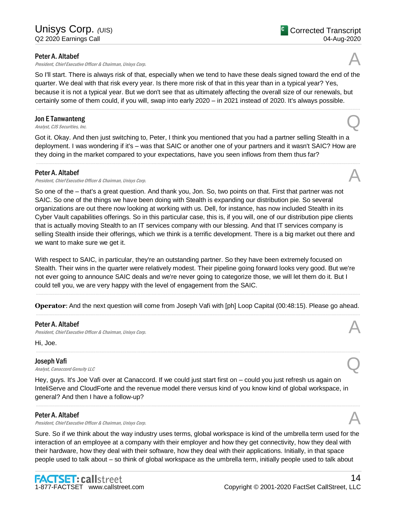### Peter A. Altabef

President, Chief Executive Officer & Chairman, Unisys Corp.

So I'll start. There is always risk of that, especially when we tend to have these deals signed toward the end of the quarter. We deal with that risk every year. Is there more risk of that in this year than in a typical year? Yes, because it is not a typical year. But we don't see that as ultimately affecting the overall size of our renewals, but certainly some of them could, if you will, swap into early 2020 – in 2021 instead of 2020. It's always possible.

.....................................................................................................................................................................................................................................................................

## Jon E Tanwanteng **Jon E Tanwanteng**<br>Analyst, CJS Securities, Inc.

Got it. Okay. And then just switching to, Peter, I think you mentioned that you had a partner selling Stealth in a deployment. I was wondering if it's – was that SAIC or another one of your partners and it wasn't SAIC? How are they doing in the market compared to your expectations, have you seen inflows from them thus far?

.....................................................................................................................................................................................................................................................................

#### Peter A. Altabef

President, Chief Executive Officer & Chairman, Unisys Corp.

So one of the – that's a great question. And thank you, Jon. So, two points on that. First that partner was not SAIC. So one of the things we have been doing with Stealth is expanding our distribution pie. So several organizations are out there now looking at working with us. Dell, for instance, has now included Stealth in its Cyber Vault capabilities offerings. So in this particular case, this is, if you will, one of our distribution pipe clients that is actually moving Stealth to an IT services company with our blessing. And that IT services company is selling Stealth inside their offerings, which we think is a terrific development. There is a big market out there and we want to make sure we get it.

With respect to SAIC, in particular, they're an outstanding partner. So they have been extremely focused on Stealth. Their wins in the quarter were relatively modest. Their pipeline going forward looks very good. But we're not ever going to announce SAIC deals and we're never going to categorize those, we will let them do it. But I could tell you, we are very happy with the level of engagement from the SAIC.

..................................................................................................................................................................................................................................................................... **Operator**: And the next question will come from Joseph Vafi with [ph] Loop Capital (00:48:15). Please go ahead. .....................................................................................................................................................................................................................................................................

.....................................................................................................................................................................................................................................................................

## Peter A. Altabef

**Peter A. Altabef A. Altabef A. Altabef A.** Altainean, Unisys Corp. Altainean of the state of the state of the state of the state of the state of the state of the state of the state of the state of the state of

Hi, Joe.

## Joseph Vafi

**Joseph Vafi**<br>Analyst, Canaccord Genuity LLC

Hey, guys. It's Joe Vafi over at Canaccord. If we could just start first on – could you just refresh us again on InteliServe and CloudForte and the revenue model there versus kind of you know kind of global workspace, in general? And then I have a follow-up?

## Peter A. Altabef

President, Chief Executive Officer & Chairman, Unisys Corp.

Sure. So if we think about the way industry uses terms, global workspace is kind of the umbrella term used for the interaction of an employee at a company with their employer and how they get connectivity, how they deal with their hardware, how they deal with their software, how they deal with their applications. Initially, in that space people used to talk about – so think of global workspace as the umbrella term, initially people used to talk about

.....................................................................................................................................................................................................................................................................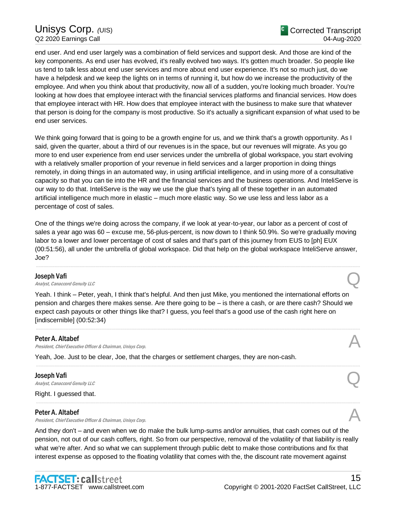## Unisys Corp. (UIS) Q2 2020 Earnings Call

end user. And end user largely was a combination of field services and support desk. And those are kind of the key components. As end user has evolved, it's really evolved two ways. It's gotten much broader. So people like us tend to talk less about end user services and more about end user experience. It's not so much just, do we have a helpdesk and we keep the lights on in terms of running it, but how do we increase the productivity of the employee. And when you think about that productivity, now all of a sudden, you're looking much broader. You're looking at how does that employee interact with the financial services platforms and financial services. How does that employee interact with HR. How does that employee interact with the business to make sure that whatever that person is doing for the company is most productive. So it's actually a significant expansion of what used to be end user services.

We think going forward that is going to be a growth engine for us, and we think that's a growth opportunity. As I said, given the quarter, about a third of our revenues is in the space, but our revenues will migrate. As you go more to end user experience from end user services under the umbrella of global workspace, you start evolving with a relatively smaller proportion of your revenue in field services and a larger proportion in doing things remotely, in doing things in an automated way, in using artificial intelligence, and in using more of a consultative capacity so that you can tie into the HR and the financial services and the business operations. And InteliServe is our way to do that. InteliServe is the way we use the glue that's tying all of these together in an automated artificial intelligence much more in elastic – much more elastic way. So we use less and less labor as a percentage of cost of sales.

One of the things we're doing across the company, if we look at year-to-year, our labor as a percent of cost of sales a year ago was 60 – excuse me, 56-plus-percent, is now down to I think 50.9%. So we're gradually moving labor to a lower and lower percentage of cost of sales and that's part of this journey from EUS to [ph] EUX (00:51:56), all under the umbrella of global workspace. Did that help on the global workspace InteliServe answer, Joe?

.....................................................................................................................................................................................................................................................................

#### Joseph Vafi

# **Joseph Vafi**<br>Analyst, Canaccord Genuity LLC  $\qquad \qquad \qquad \qquad$

Yeah. I think – Peter, yeah, I think that's helpful. And then just Mike, you mentioned the international efforts on pension and charges there makes sense. Are there going to be – is there a cash, or are there cash? Should we expect cash payouts or other things like that? I guess, you feel that's a good use of the cash right here on [indiscernible] (00:52:34)

.....................................................................................................................................................................................................................................................................

.....................................................................................................................................................................................................................................................................

.....................................................................................................................................................................................................................................................................

## Peter A. Altabef

President, Chief Executive Officer & Chairman, Unisys Corp. A

Yeah, Joe. Just to be clear, Joe, that the charges or settlement charges, they are non-cash.

#### Joseph Vafi

**Joseph Vafi**<br>Analyst, Canaccord Genuity LLC

Right. I guessed that.

#### Peter A. Altabef

President, Chief Executive Officer & Chairman, Unisys Corp.

And they don't – and even when we do make the bulk lump-sums and/or annuities, that cash comes out of the pension, not out of our cash coffers, right. So from our perspective, removal of the volatility of that liability is really what we're after. And so what we can supplement through public debt to make those contributions and fix that interest expense as opposed to the floating volatility that comes with the, the discount rate movement against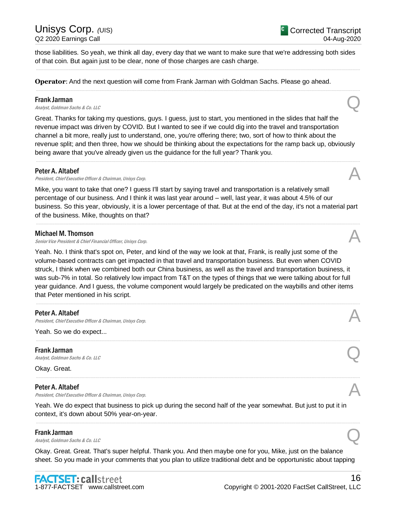## Unisys Corp.  $\mu$ IIS) Q2 2020 Earnings Call

those liabilities. So yeah, we think all day, every day that we want to make sure that we're addressing both sides of that coin. But again just to be clear, none of those charges are cash charge.

.....................................................................................................................................................................................................................................................................

.....................................................................................................................................................................................................................................................................

**Operator**: And the next question will come from Frank Jarman with Goldman Sachs. Please go ahead.

### Frank Jarman

**Frank Jarman**<br>Analyst, Goldman Sachs & Co. LLC  $\mathcal{Q}$ 

Great. Thanks for taking my questions, guys. I guess, just to start, you mentioned in the slides that half the revenue impact was driven by COVID. But I wanted to see if we could dig into the travel and transportation channel a bit more, really just to understand, one, you're offering there; two, sort of how to think about the revenue split; and then three, how we should be thinking about the expectations for the ramp back up, obviously being aware that you've already given us the guidance for the full year? Thank you.

.....................................................................................................................................................................................................................................................................

#### Peter A. Altabef

President, Chief Executive Officer & Chairman, Unisys Corp.

Mike, you want to take that one? I guess I'll start by saying travel and transportation is a relatively small percentage of our business. And I think it was last year around – well, last year, it was about 4.5% of our business. So this year, obviously, it is a lower percentage of that. But at the end of the day, it's not a material part of the business. Mike, thoughts on that?

.....................................................................................................................................................................................................................................................................

#### Michael M. Thomson

Senior Vice President & Chief Financial Officer, Unisys Corp.

Yeah. No. I think that's spot on, Peter, and kind of the way we look at that, Frank, is really just some of the volume-based contracts can get impacted in that travel and transportation business. But even when COVID struck, I think when we combined both our China business, as well as the travel and transportation business, it was sub-7% in total. So relatively low impact from T&T on the types of things that we were talking about for full year guidance. And I guess, the volume component would largely be predicated on the waybills and other items that Peter mentioned in his script.

.....................................................................................................................................................................................................................................................................

.....................................................................................................................................................................................................................................................................

.....................................................................................................................................................................................................................................................................

## Peter A. Altabef

President, Chief Executive Officer & Chairman, Unisys Corp.

Yeah. So we do expect...

#### Frank Jarman

**Frank Jarman**<br>Analyst, Goldman Sachs & Co. LLC  $\mathcal{Q}$ 

Okay. Great.

## Peter A. Altabef

President, Chief Executive Officer & Chairman, Unisys Corp.

Yeah. We do expect that business to pick up during the second half of the year somewhat. But just to put it in context, it's down about 50% year-on-year.

.....................................................................................................................................................................................................................................................................

## Frank Jarman

**Frank Jarman**<br>Analyst, Goldman Sachs & Co. LLC  $\mathcal{Q}$ 

Okay. Great. Great. That's super helpful. Thank you. And then maybe one for you, Mike, just on the balance sheet. So you made in your comments that you plan to utilize traditional debt and be opportunistic about tapping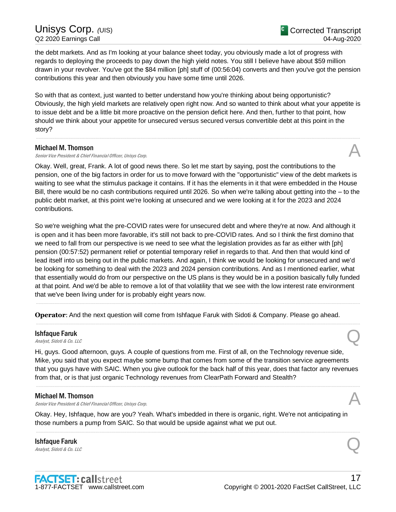the debt markets. And as I'm looking at your balance sheet today, you obviously made a lot of progress with regards to deploying the proceeds to pay down the high yield notes. You still I believe have about \$59 million drawn in your revolver. You've got the \$84 million [ph] stuff of (00:56:04) converts and then you've got the pension contributions this year and then obviously you have some time until 2026.

So with that as context, just wanted to better understand how you're thinking about being opportunistic? Obviously, the high yield markets are relatively open right now. And so wanted to think about what your appetite is to issue debt and be a little bit more proactive on the pension deficit here. And then, further to that point, how should we think about your appetite for unsecured versus secured versus convertible debt at this point in the story?

.....................................................................................................................................................................................................................................................................

## Michael M. Thomson

Senior Vice President & Chief Financial Officer, Unisys Corp.

Okay. Well, great, Frank. A lot of good news there. So let me start by saying, post the contributions to the pension, one of the big factors in order for us to move forward with the "opportunistic" view of the debt markets is waiting to see what the stimulus package it contains. If it has the elements in it that were embedded in the House Bill, there would be no cash contributions required until 2026. So when we're talking about getting into the – to the public debt market, at this point we're looking at unsecured and we were looking at it for the 2023 and 2024 contributions.

So we're weighing what the pre-COVID rates were for unsecured debt and where they're at now. And although it is open and it has been more favorable, it's still not back to pre-COVID rates. And so I think the first domino that we need to fall from our perspective is we need to see what the legislation provides as far as either with [ph] pension (00:57:52) permanent relief or potential temporary relief in regards to that. And then that would kind of lead itself into us being out in the public markets. And again, I think we would be looking for unsecured and we'd be looking for something to deal with the 2023 and 2024 pension contributions. And as I mentioned earlier, what that essentially would do from our perspective on the US plans is they would be in a position basically fully funded at that point. And we'd be able to remove a lot of that volatility that we see with the low interest rate environment that we've been living under for is probably eight years now.

.....................................................................................................................................................................................................................................................................

.....................................................................................................................................................................................................................................................................

**Operator**: And the next question will come from Ishfaque Faruk with Sidoti & Company. Please go ahead.

## Ishfaque Faruk **Ishfaque Faruk**<br>Analyst, Sidoti & Co. LLC

Hi, guys. Good afternoon, guys. A couple of questions from me. First of all, on the Technology revenue side, Mike, you said that you expect maybe some bump that comes from some of the transition service agreements that you guys have with SAIC. When you give outlook for the back half of this year, does that factor any revenues from that, or is that just organic Technology revenues from ClearPath Forward and Stealth?

.....................................................................................................................................................................................................................................................................

## Michael M. Thomson

Senior Vice President & Chief Financial Officer, Unisys Corp.

Okay. Hey, Ishfaque, how are you? Yeah. What's imbedded in there is organic, right. We're not anticipating in those numbers a pump from SAIC. So that would be upside against what we put out.

.....................................................................................................................................................................................................................................................................

## Ishfaque Faruk **Ishfaque Faruk**<br>Analyst, Sidoti & Co. LLC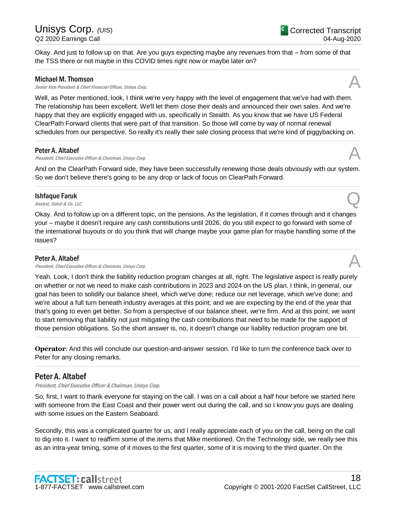Okay. And just to follow up on that. Are you guys expecting maybe any revenues from that – from some of that the TSS there or not maybe in this COVID times right now or maybe later on?

.....................................................................................................................................................................................................................................................................

## Michael M. Thomson

Senior Vice President & Chief Financial Officer, Unisys Corp.

Well, as Peter mentioned, look, I think we're very happy with the level of engagement that we've had with them. The relationship has been excellent. We'll let them close their deals and announced their own sales. And we're happy that they are explicitly engaged with us, specifically in Stealth. As you know that we have US Federal ClearPath Forward clients that were part of that transition. So those will come by way of normal renewal schedules from our perspective. So really it's really their sale closing process that we're kind of piggybacking on.

#### Peter A. Altabef

**Peter A. Altabef A. Altabef A. Altabef A.** Altained *A.* Altained *A.* Altained *A. Altained A. Altained <i>A.* Altained *A.* Altained *A. Altained A. Altained <i>A.* Altained *A.* Altained *A.* Altained *A.* A

And on the ClearPath Forward side, they have been successfully renewing those deals obviously with our system. So we don't believe there's going to be any drop or lack of focus on ClearPath Forward. .....................................................................................................................................................................................................................................................................

.....................................................................................................................................................................................................................................................................

## Ishfaque Faruk **Ishfaque Faruk**<br>Analyst, Sidoti & Co. LLC

Okay. And to follow up on a different topic, on the pensions. As the legislation, if it comes through and it changes your – maybe it doesn't require any cash contributions until 2026, do you still expect to go forward with some of the international buyouts or do you think that will change maybe your game plan for maybe handling some of the issues?

.....................................................................................................................................................................................................................................................................

### Peter A. Altabef

President, Chief Executive Officer & Chairman, Unisys Corp.

Yeah. Look, I don't think the liability reduction program changes at all, right. The legislative aspect is really purely on whether or not we need to make cash contributions in 2023 and 2024 on the US plan. I think, in general, our goal has been to solidify our balance sheet, which we've done; reduce our net leverage, which we've done; and we're about a full turn beneath industry averages at this point; and we are expecting by the end of the year that that's going to even get better. So from a perspective of our balance sheet, we're firm. And at this point, we want to start removing that liability not just mitigating the cash contributions that need to be made for the support of those pension obligations. So the short answer is, no, it doesn't change our liability reduction program one bit.

**Operator**: And this will conclude our question-and-answer session. I'd like to turn the conference back over to Peter for any closing remarks.

.....................................................................................................................................................................................................................................................................

.....................................................................................................................................................................................................................................................................

## Peter A. Altabef

President, Chief Executive Officer & Chairman, Unisys Corp.

So, first, I want to thank everyone for staying on the call. I was on a call about a half hour before we started here with someone from the East Coast and their power went out during the call, and so I know you guys are dealing with some issues on the Eastern Seaboard.

Secondly, this was a complicated quarter for us, and I really appreciate each of you on the call, being on the call to dig into it. I want to reaffirm some of the items that Mike mentioned. On the Technology side, we really see this as an intra-year timing, some of it moves to the first quarter, some of it is moving to the third quarter. On the